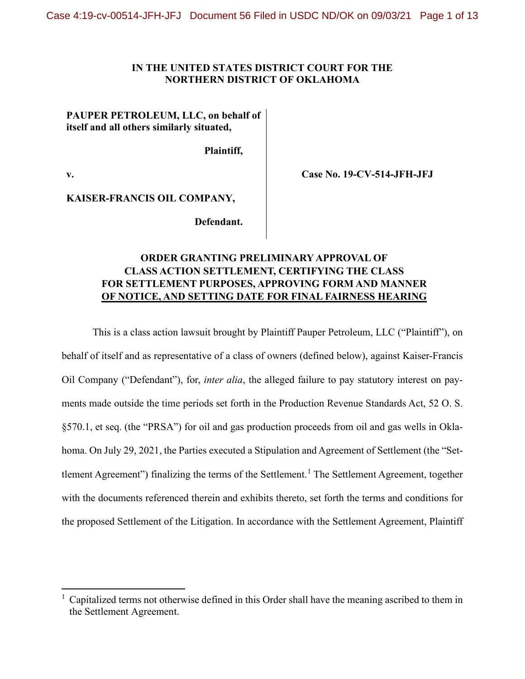#### **IN THE UNITED STATES DISTRICT COURT FOR THE NORTHERN DISTRICT OF OKLAHOMA**

## **PAUPER PETROLEUM, LLC, on behalf of itself and all others similarly situated,**

**Plaintiff,**

**v.**

**Case No. 19-CV-514-JFH-JFJ**

**KAISER-FRANCIS OIL COMPANY,**

**Defendant.**

# **ORDER GRANTING PRELIMINARY APPROVAL OF CLASS ACTION SETTLEMENT, CERTIFYING THE CLASS FOR SETTLEMENT PURPOSES, APPROVING FORM AND MANNER OF NOTICE, AND SETTING DATE FOR FINAL FAIRNESS HEARING**

This is a class action lawsuit brought by Plaintiff Pauper Petroleum, LLC ("Plaintiff"), on behalf of itself and as representative of a class of owners (defined below), against Kaiser-Francis Oil Company ("Defendant"), for, *inter alia*, the alleged failure to pay statutory interest on payments made outside the time periods set forth in the Production Revenue Standards Act, 52 O. S. §570.1, et seq. (the "PRSA") for oil and gas production proceeds from oil and gas wells in Oklahoma. On July 29, 2021, the Parties executed a Stipulation and Agreement of Settlement (the "Set-tlement Agreement") finalizing the terms of the Settlement.<sup>[1](#page-0-0)</sup> The Settlement Agreement, together with the documents referenced therein and exhibits thereto, set forth the terms and conditions for the proposed Settlement of the Litigation. In accordance with the Settlement Agreement, Plaintiff

<span id="page-0-0"></span><sup>&</sup>lt;sup>1</sup> Capitalized terms not otherwise defined in this Order shall have the meaning ascribed to them in the Settlement Agreement.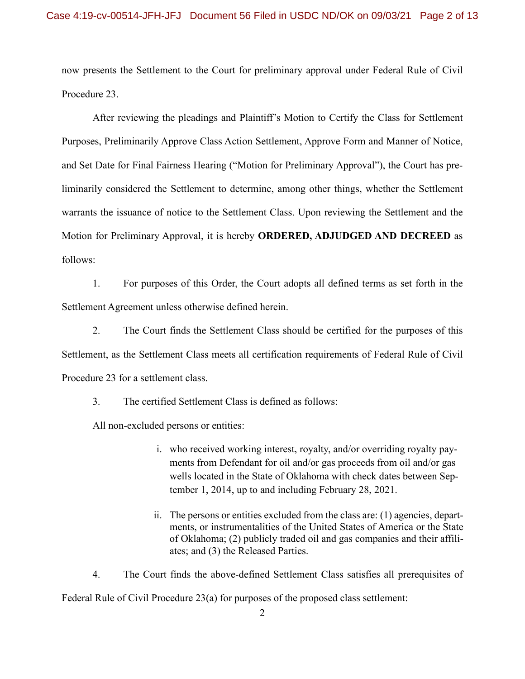now presents the Settlement to the Court for preliminary approval under Federal Rule of Civil Procedure 23.

After reviewing the pleadings and Plaintiff's Motion to Certify the Class for Settlement Purposes, Preliminarily Approve Class Action Settlement, Approve Form and Manner of Notice, and Set Date for Final Fairness Hearing ("Motion for Preliminary Approval"), the Court has preliminarily considered the Settlement to determine, among other things, whether the Settlement warrants the issuance of notice to the Settlement Class. Upon reviewing the Settlement and the Motion for Preliminary Approval, it is hereby **ORDERED, ADJUDGED AND DECREED** as follows:

1. For purposes of this Order, the Court adopts all defined terms as set forth in the Settlement Agreement unless otherwise defined herein.

2. The Court finds the Settlement Class should be certified for the purposes of this Settlement, as the Settlement Class meets all certification requirements of Federal Rule of Civil Procedure 23 for a settlement class.

3. The certified Settlement Class is defined as follows:

All non-excluded persons or entities:

- i. who received working interest, royalty, and/or overriding royalty payments from Defendant for oil and/or gas proceeds from oil and/or gas wells located in the State of Oklahoma with check dates between September 1, 2014, up to and including February 28, 2021.
- ii. The persons or entities excluded from the class are: (1) agencies, departments, or instrumentalities of the United States of America or the State of Oklahoma; (2) publicly traded oil and gas companies and their affiliates; and (3) the Released Parties.

4. The Court finds the above-defined Settlement Class satisfies all prerequisites of Federal Rule of Civil Procedure 23(a) for purposes of the proposed class settlement:

2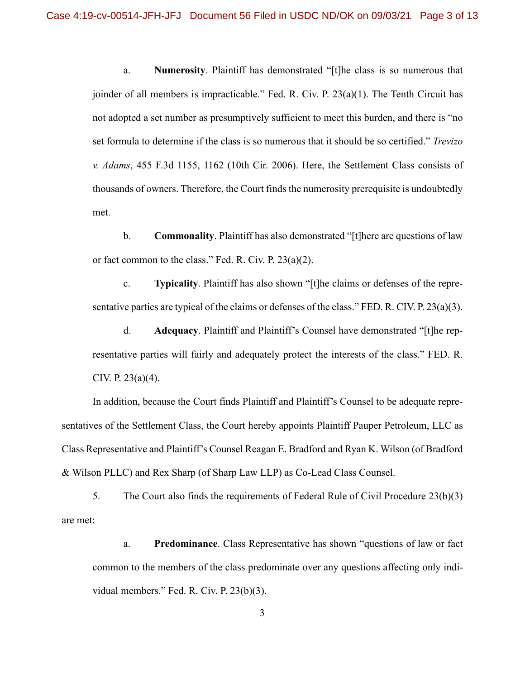a. **Numerosity**. Plaintiff has demonstrated "[t]he class is so numerous that joinder of all members is impracticable." Fed. R. Civ. P. 23(a)(1). The Tenth Circuit has not adopted a set number as presumptively sufficient to meet this burden, and there is "no set formula to determine if the class is so numerous that it should be so certified." *Trevizo v. Adams*, 455 F.3d 1155, 1162 (10th Cir. 2006). Here, the Settlement Class consists of thousands of owners. Therefore, the Court finds the numerosity prerequisite is undoubtedly met.

b. **Commonality**. Plaintiff has also demonstrated "[t]here are questions of law or fact common to the class." Fed. R. Civ. P. 23(a)(2).

c. **Typicality**. Plaintiff has also shown "[t]he claims or defenses of the representative parties are typical of the claims or defenses of the class." FED. R. CIV. P. 23(a)(3).

d. **Adequacy**. Plaintiff and Plaintiff's Counsel have demonstrated "[t]he representative parties will fairly and adequately protect the interests of the class." FED. R. CIV. P. 23(a)(4).

In addition, because the Court finds Plaintiff and Plaintiff's Counsel to be adequate representatives of the Settlement Class, the Court hereby appoints Plaintiff Pauper Petroleum, LLC as Class Representative and Plaintiff's Counsel Reagan E. Bradford and Ryan K. Wilson (of Bradford & Wilson PLLC) and Rex Sharp (of Sharp Law LLP) as Co-Lead Class Counsel.

5. The Court also finds the requirements of Federal Rule of Civil Procedure 23(b)(3) are met:

a. **Predominance**. Class Representative has shown "questions of law or fact common to the members of the class predominate over any questions affecting only individual members." Fed. R. Civ. P. 23(b)(3).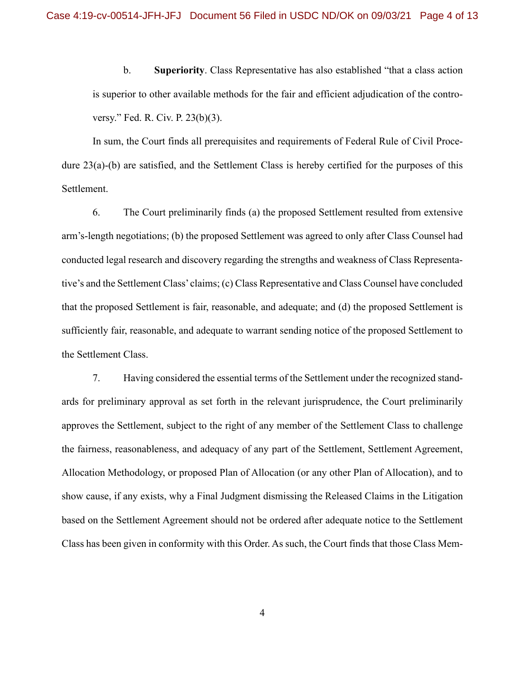b. **Superiority**. Class Representative has also established "that a class action is superior to other available methods for the fair and efficient adjudication of the controversy." Fed. R. Civ. P. 23(b)(3).

In sum, the Court finds all prerequisites and requirements of Federal Rule of Civil Procedure 23(a)-(b) are satisfied, and the Settlement Class is hereby certified for the purposes of this Settlement.

6. The Court preliminarily finds (a) the proposed Settlement resulted from extensive arm's-length negotiations; (b) the proposed Settlement was agreed to only after Class Counsel had conducted legal research and discovery regarding the strengths and weakness of Class Representative's and the Settlement Class' claims; (c) Class Representative and Class Counsel have concluded that the proposed Settlement is fair, reasonable, and adequate; and (d) the proposed Settlement is sufficiently fair, reasonable, and adequate to warrant sending notice of the proposed Settlement to the Settlement Class.

7. Having considered the essential terms of the Settlement under the recognized standards for preliminary approval as set forth in the relevant jurisprudence, the Court preliminarily approves the Settlement, subject to the right of any member of the Settlement Class to challenge the fairness, reasonableness, and adequacy of any part of the Settlement, Settlement Agreement, Allocation Methodology, or proposed Plan of Allocation (or any other Plan of Allocation), and to show cause, if any exists, why a Final Judgment dismissing the Released Claims in the Litigation based on the Settlement Agreement should not be ordered after adequate notice to the Settlement Class has been given in conformity with this Order. As such, the Court finds that those Class Mem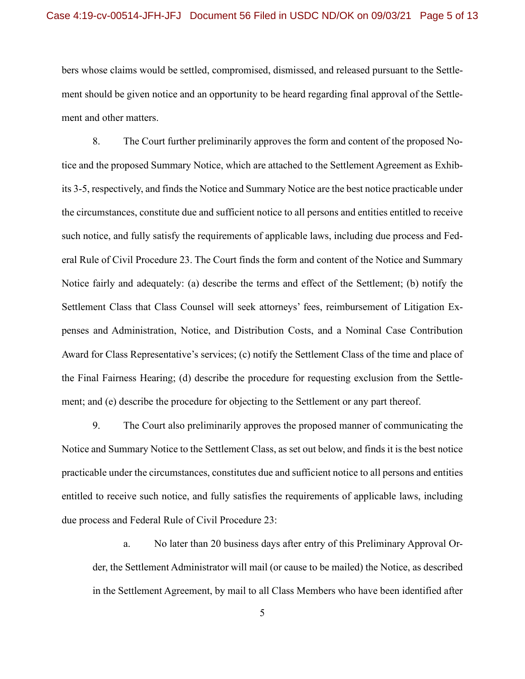bers whose claims would be settled, compromised, dismissed, and released pursuant to the Settlement should be given notice and an opportunity to be heard regarding final approval of the Settlement and other matters.

8. The Court further preliminarily approves the form and content of the proposed Notice and the proposed Summary Notice, which are attached to the Settlement Agreement as Exhibits 3-5, respectively, and finds the Notice and Summary Notice are the best notice practicable under the circumstances, constitute due and sufficient notice to all persons and entities entitled to receive such notice, and fully satisfy the requirements of applicable laws, including due process and Federal Rule of Civil Procedure 23. The Court finds the form and content of the Notice and Summary Notice fairly and adequately: (a) describe the terms and effect of the Settlement; (b) notify the Settlement Class that Class Counsel will seek attorneys' fees, reimbursement of Litigation Expenses and Administration, Notice, and Distribution Costs, and a Nominal Case Contribution Award for Class Representative's services; (c) notify the Settlement Class of the time and place of the Final Fairness Hearing; (d) describe the procedure for requesting exclusion from the Settlement; and (e) describe the procedure for objecting to the Settlement or any part thereof.

9. The Court also preliminarily approves the proposed manner of communicating the Notice and Summary Notice to the Settlement Class, as set out below, and finds it is the best notice practicable under the circumstances, constitutes due and sufficient notice to all persons and entities entitled to receive such notice, and fully satisfies the requirements of applicable laws, including due process and Federal Rule of Civil Procedure 23:

a. No later than 20 business days after entry of this Preliminary Approval Order, the Settlement Administrator will mail (or cause to be mailed) the Notice, as described in the Settlement Agreement, by mail to all Class Members who have been identified after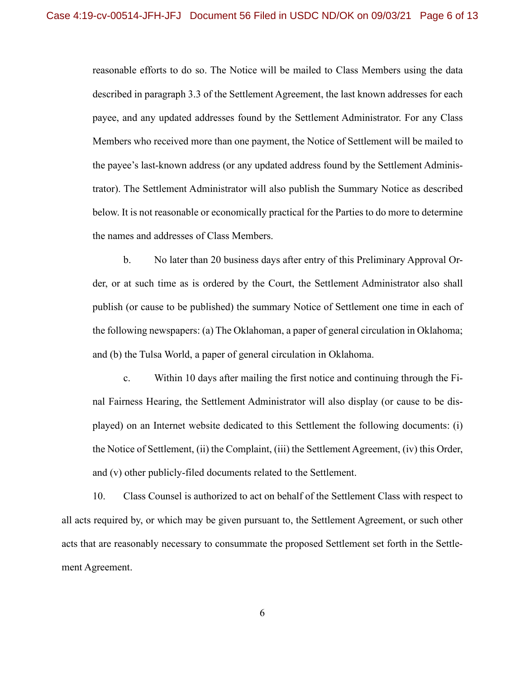reasonable efforts to do so. The Notice will be mailed to Class Members using the data described in paragraph 3.3 of the Settlement Agreement, the last known addresses for each payee, and any updated addresses found by the Settlement Administrator. For any Class Members who received more than one payment, the Notice of Settlement will be mailed to the payee's last-known address (or any updated address found by the Settlement Administrator). The Settlement Administrator will also publish the Summary Notice as described below. It is not reasonable or economically practical for the Parties to do more to determine the names and addresses of Class Members.

b. No later than 20 business days after entry of this Preliminary Approval Order, or at such time as is ordered by the Court, the Settlement Administrator also shall publish (or cause to be published) the summary Notice of Settlement one time in each of the following newspapers: (a) The Oklahoman, a paper of general circulation in Oklahoma; and (b) the Tulsa World, a paper of general circulation in Oklahoma.

c. Within 10 days after mailing the first notice and continuing through the Final Fairness Hearing, the Settlement Administrator will also display (or cause to be displayed) on an Internet website dedicated to this Settlement the following documents: (i) the Notice of Settlement, (ii) the Complaint, (iii) the Settlement Agreement, (iv) this Order, and (v) other publicly-filed documents related to the Settlement.

10. Class Counsel is authorized to act on behalf of the Settlement Class with respect to all acts required by, or which may be given pursuant to, the Settlement Agreement, or such other acts that are reasonably necessary to consummate the proposed Settlement set forth in the Settlement Agreement.

6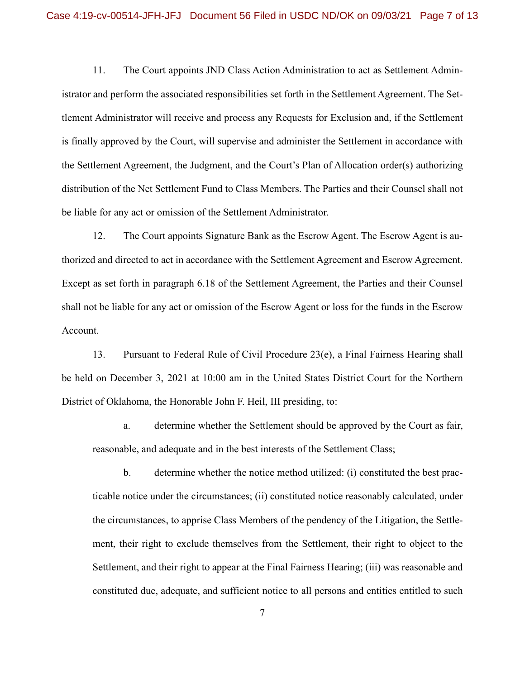11. The Court appoints JND Class Action Administration to act as Settlement Administrator and perform the associated responsibilities set forth in the Settlement Agreement. The Settlement Administrator will receive and process any Requests for Exclusion and, if the Settlement is finally approved by the Court, will supervise and administer the Settlement in accordance with the Settlement Agreement, the Judgment, and the Court's Plan of Allocation order(s) authorizing distribution of the Net Settlement Fund to Class Members. The Parties and their Counsel shall not be liable for any act or omission of the Settlement Administrator.

12. The Court appoints Signature Bank as the Escrow Agent. The Escrow Agent is authorized and directed to act in accordance with the Settlement Agreement and Escrow Agreement. Except as set forth in paragraph 6.18 of the Settlement Agreement, the Parties and their Counsel shall not be liable for any act or omission of the Escrow Agent or loss for the funds in the Escrow Account.

13. Pursuant to Federal Rule of Civil Procedure 23(e), a Final Fairness Hearing shall be held on December 3, 2021 at 10:00 am in the United States District Court for the Northern District of Oklahoma, the Honorable John F. Heil, III presiding, to:

a. determine whether the Settlement should be approved by the Court as fair, reasonable, and adequate and in the best interests of the Settlement Class;

b. determine whether the notice method utilized: (i) constituted the best practicable notice under the circumstances; (ii) constituted notice reasonably calculated, under the circumstances, to apprise Class Members of the pendency of the Litigation, the Settlement, their right to exclude themselves from the Settlement, their right to object to the Settlement, and their right to appear at the Final Fairness Hearing; (iii) was reasonable and constituted due, adequate, and sufficient notice to all persons and entities entitled to such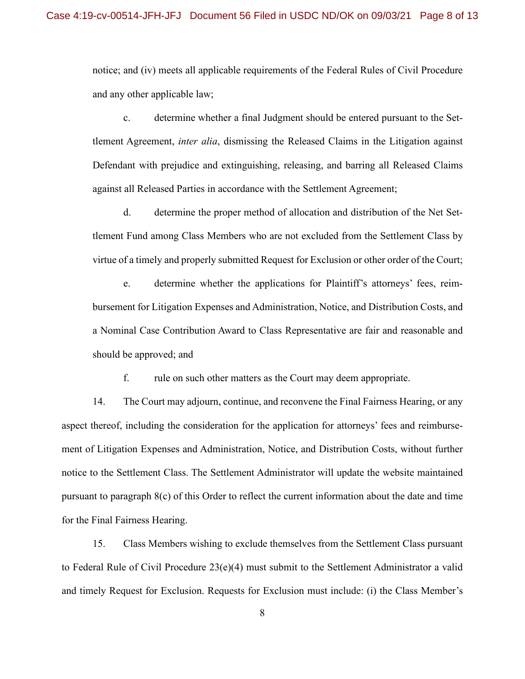notice; and (iv) meets all applicable requirements of the Federal Rules of Civil Procedure and any other applicable law;

c. determine whether a final Judgment should be entered pursuant to the Settlement Agreement, *inter alia*, dismissing the Released Claims in the Litigation against Defendant with prejudice and extinguishing, releasing, and barring all Released Claims against all Released Parties in accordance with the Settlement Agreement;

d. determine the proper method of allocation and distribution of the Net Settlement Fund among Class Members who are not excluded from the Settlement Class by virtue of a timely and properly submitted Request for Exclusion or other order of the Court;

e. determine whether the applications for Plaintiff's attorneys' fees, reimbursement for Litigation Expenses and Administration, Notice, and Distribution Costs, and a Nominal Case Contribution Award to Class Representative are fair and reasonable and should be approved; and

f. rule on such other matters as the Court may deem appropriate.

14. The Court may adjourn, continue, and reconvene the Final Fairness Hearing, or any aspect thereof, including the consideration for the application for attorneys' fees and reimbursement of Litigation Expenses and Administration, Notice, and Distribution Costs, without further notice to the Settlement Class. The Settlement Administrator will update the website maintained pursuant to paragraph 8(c) of this Order to reflect the current information about the date and time for the Final Fairness Hearing.

15. Class Members wishing to exclude themselves from the Settlement Class pursuant to Federal Rule of Civil Procedure 23(e)(4) must submit to the Settlement Administrator a valid and timely Request for Exclusion. Requests for Exclusion must include: (i) the Class Member's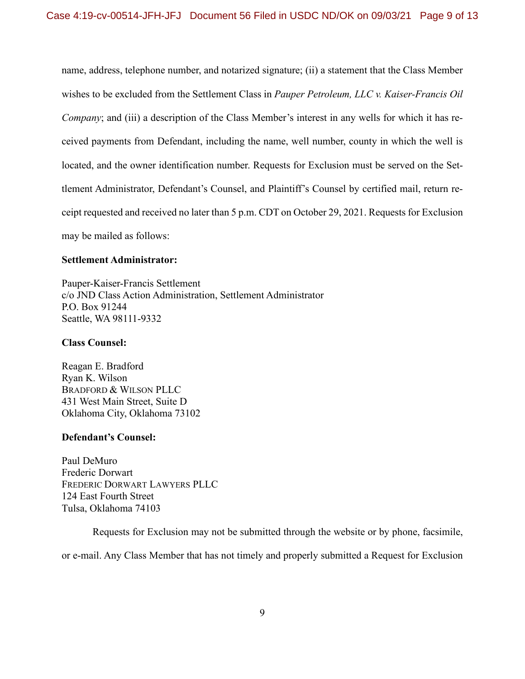name, address, telephone number, and notarized signature; (ii) a statement that the Class Member wishes to be excluded from the Settlement Class in *Pauper Petroleum, LLC v. Kaiser-Francis Oil Company*; and (iii) a description of the Class Member's interest in any wells for which it has received payments from Defendant, including the name, well number, county in which the well is located, and the owner identification number. Requests for Exclusion must be served on the Settlement Administrator, Defendant's Counsel, and Plaintiff's Counsel by certified mail, return receipt requested and received no later than 5 p.m. CDT on October 29, 2021. Requests for Exclusion may be mailed as follows:

### **Settlement Administrator:**

Pauper-Kaiser-Francis Settlement c/o JND Class Action Administration, Settlement Administrator P.O. Box 91244 Seattle, WA 98111-9332

#### **Class Counsel:**

Reagan E. Bradford Ryan K. Wilson BRADFORD & WILSON PLLC 431 West Main Street, Suite D Oklahoma City, Oklahoma 73102

### **Defendant's Counsel:**

Paul DeMuro Frederic Dorwart FREDERIC DORWART LAWYERS PLLC 124 East Fourth Street Tulsa, Oklahoma 74103

Requests for Exclusion may not be submitted through the website or by phone, facsimile,

or e-mail. Any Class Member that has not timely and properly submitted a Request for Exclusion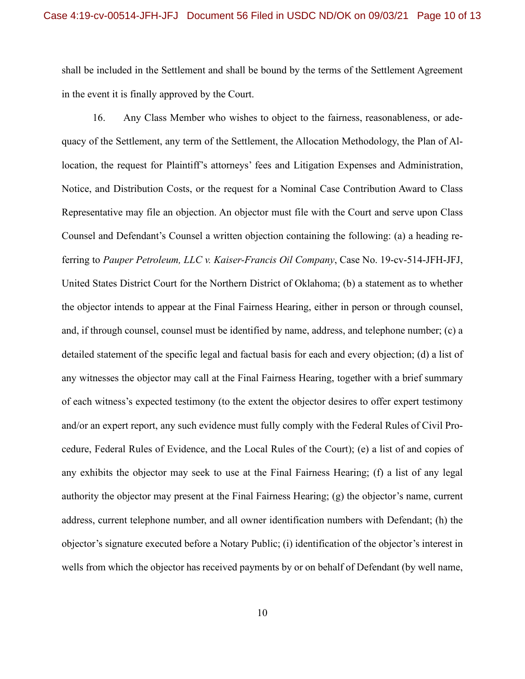shall be included in the Settlement and shall be bound by the terms of the Settlement Agreement in the event it is finally approved by the Court.

16. Any Class Member who wishes to object to the fairness, reasonableness, or adequacy of the Settlement, any term of the Settlement, the Allocation Methodology, the Plan of Allocation, the request for Plaintiff's attorneys' fees and Litigation Expenses and Administration, Notice, and Distribution Costs, or the request for a Nominal Case Contribution Award to Class Representative may file an objection. An objector must file with the Court and serve upon Class Counsel and Defendant's Counsel a written objection containing the following: (a) a heading referring to *Pauper Petroleum, LLC v. Kaiser-Francis Oil Company*, Case No. 19-cv-514-JFH-JFJ, United States District Court for the Northern District of Oklahoma; (b) a statement as to whether the objector intends to appear at the Final Fairness Hearing, either in person or through counsel, and, if through counsel, counsel must be identified by name, address, and telephone number; (c) a detailed statement of the specific legal and factual basis for each and every objection; (d) a list of any witnesses the objector may call at the Final Fairness Hearing, together with a brief summary of each witness's expected testimony (to the extent the objector desires to offer expert testimony and/or an expert report, any such evidence must fully comply with the Federal Rules of Civil Procedure, Federal Rules of Evidence, and the Local Rules of the Court); (e) a list of and copies of any exhibits the objector may seek to use at the Final Fairness Hearing; (f) a list of any legal authority the objector may present at the Final Fairness Hearing; (g) the objector's name, current address, current telephone number, and all owner identification numbers with Defendant; (h) the objector's signature executed before a Notary Public; (i) identification of the objector's interest in wells from which the objector has received payments by or on behalf of Defendant (by well name,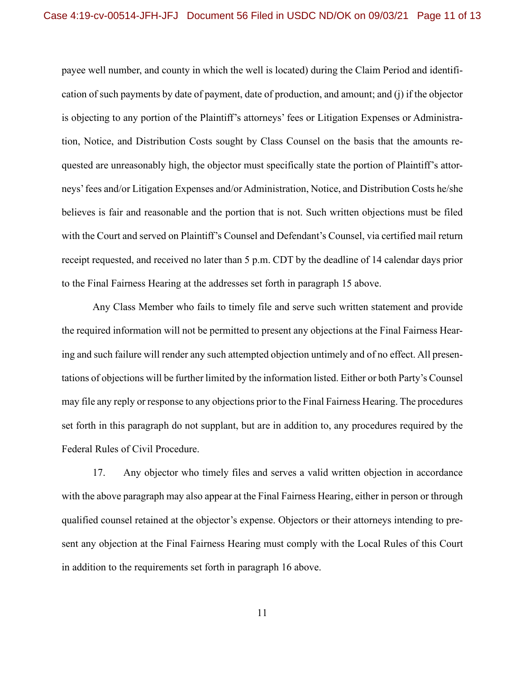payee well number, and county in which the well is located) during the Claim Period and identification of such payments by date of payment, date of production, and amount; and (j) if the objector is objecting to any portion of the Plaintiff's attorneys' fees or Litigation Expenses or Administration, Notice, and Distribution Costs sought by Class Counsel on the basis that the amounts requested are unreasonably high, the objector must specifically state the portion of Plaintiff's attorneys' fees and/or Litigation Expenses and/or Administration, Notice, and Distribution Costs he/she believes is fair and reasonable and the portion that is not. Such written objections must be filed with the Court and served on Plaintiff's Counsel and Defendant's Counsel, via certified mail return receipt requested, and received no later than 5 p.m. CDT by the deadline of 14 calendar days prior to the Final Fairness Hearing at the addresses set forth in paragraph 15 above.

Any Class Member who fails to timely file and serve such written statement and provide the required information will not be permitted to present any objections at the Final Fairness Hearing and such failure will render any such attempted objection untimely and of no effect. All presentations of objections will be further limited by the information listed. Either or both Party's Counsel may file any reply or response to any objections prior to the Final Fairness Hearing. The procedures set forth in this paragraph do not supplant, but are in addition to, any procedures required by the Federal Rules of Civil Procedure.

17. Any objector who timely files and serves a valid written objection in accordance with the above paragraph may also appear at the Final Fairness Hearing, either in person or through qualified counsel retained at the objector's expense. Objectors or their attorneys intending to present any objection at the Final Fairness Hearing must comply with the Local Rules of this Court in addition to the requirements set forth in paragraph 16 above.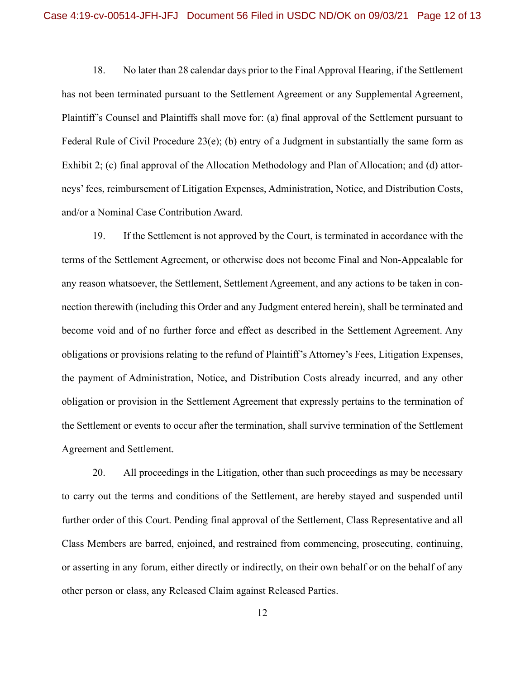18. No later than 28 calendar days prior to the Final Approval Hearing, if the Settlement has not been terminated pursuant to the Settlement Agreement or any Supplemental Agreement, Plaintiff's Counsel and Plaintiffs shall move for: (a) final approval of the Settlement pursuant to Federal Rule of Civil Procedure 23(e); (b) entry of a Judgment in substantially the same form as Exhibit 2; (c) final approval of the Allocation Methodology and Plan of Allocation; and (d) attorneys' fees, reimbursement of Litigation Expenses, Administration, Notice, and Distribution Costs, and/or a Nominal Case Contribution Award.

19. If the Settlement is not approved by the Court, is terminated in accordance with the terms of the Settlement Agreement, or otherwise does not become Final and Non-Appealable for any reason whatsoever, the Settlement, Settlement Agreement, and any actions to be taken in connection therewith (including this Order and any Judgment entered herein), shall be terminated and become void and of no further force and effect as described in the Settlement Agreement. Any obligations or provisions relating to the refund of Plaintiff's Attorney's Fees, Litigation Expenses, the payment of Administration, Notice, and Distribution Costs already incurred, and any other obligation or provision in the Settlement Agreement that expressly pertains to the termination of the Settlement or events to occur after the termination, shall survive termination of the Settlement Agreement and Settlement.

20. All proceedings in the Litigation, other than such proceedings as may be necessary to carry out the terms and conditions of the Settlement, are hereby stayed and suspended until further order of this Court. Pending final approval of the Settlement, Class Representative and all Class Members are barred, enjoined, and restrained from commencing, prosecuting, continuing, or asserting in any forum, either directly or indirectly, on their own behalf or on the behalf of any other person or class, any Released Claim against Released Parties.